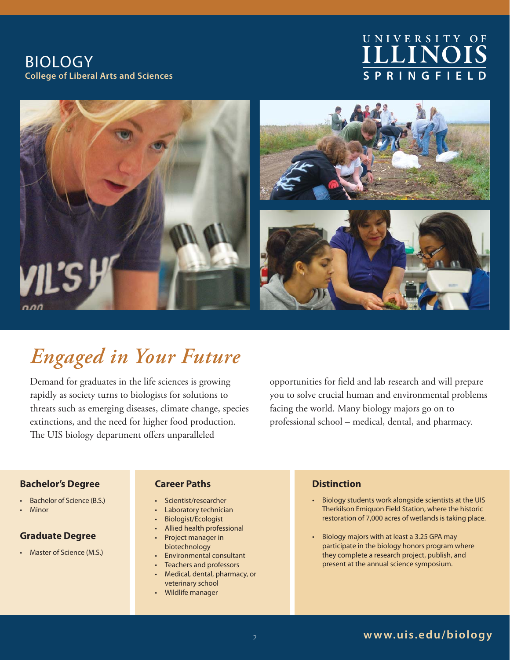BIOLOGY **College of Liberal Arts and Sciences**

# **ILLINOIS S P R I N G F I E L D U N I V E R S I T Y O F**



# *Engaged in Your Future*

Demand for graduates in the life sciences is growing rapidly as society turns to biologists for solutions to threats such as emerging diseases, climate change, species extinctions, and the need for higher food production. The UIS biology department offers unparalleled

opportunities for field and lab research and will prepare you to solve crucial human and environmental problems facing the world. Many biology majors go on to professional school – medical, dental, and pharmacy.

#### **Bachelor's Degree**

- Bachelor of Science (B.S.)
- **Minor**

### **Graduate Degree**

• Master of Science (M.S.)

### **Career Paths**

- Scientist/researcher
- Laboratory technician
- Biologist/Ecologist
- Allied health professional
- Project manager in biotechnology
- Environmental consultant
- Teachers and professors
- Medical, dental, pharmacy, or veterinary school
- Wildlife manager

### **Distinction**

- Biology students work alongside scientists at the UIS Therkilson Emiquon Field Station, where the historic restoration of 7,000 acres of wetlands is taking place.
- Biology majors with at least a 3.25 GPA may participate in the biology honors program where they complete a research project, publish, and present at the annual science symposium.